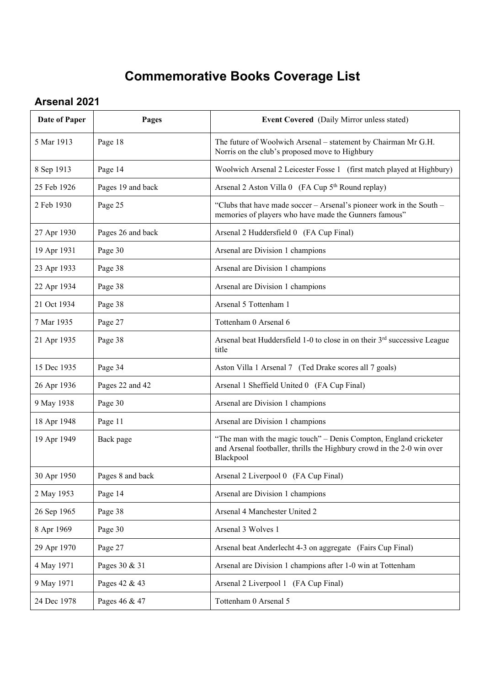## **Commemorative Books Coverage List**

## **Arsenal 2021**

| Date of Paper | Pages             | Event Covered (Daily Mirror unless stated)                                                                                                               |
|---------------|-------------------|----------------------------------------------------------------------------------------------------------------------------------------------------------|
| 5 Mar 1913    | Page 18           | The future of Woolwich Arsenal – statement by Chairman Mr G.H.<br>Norris on the club's proposed move to Highbury                                         |
| 8 Sep 1913    | Page 14           | Woolwich Arsenal 2 Leicester Fosse 1 (first match played at Highbury)                                                                                    |
| 25 Feb 1926   | Pages 19 and back | Arsenal 2 Aston Villa 0 (FA Cup 5 <sup>th</sup> Round replay)                                                                                            |
| 2 Feb 1930    | Page 25           | "Clubs that have made soccer - Arsenal's pioneer work in the South -<br>memories of players who have made the Gunners famous"                            |
| 27 Apr 1930   | Pages 26 and back | Arsenal 2 Huddersfield 0 (FA Cup Final)                                                                                                                  |
| 19 Apr 1931   | Page 30           | Arsenal are Division 1 champions                                                                                                                         |
| 23 Apr 1933   | Page 38           | Arsenal are Division 1 champions                                                                                                                         |
| 22 Apr 1934   | Page 38           | Arsenal are Division 1 champions                                                                                                                         |
| 21 Oct 1934   | Page 38           | Arsenal 5 Tottenham 1                                                                                                                                    |
| 7 Mar 1935    | Page 27           | Tottenham 0 Arsenal 6                                                                                                                                    |
| 21 Apr 1935   | Page 38           | Arsenal beat Huddersfield 1-0 to close in on their 3 <sup>rd</sup> successive League<br>title                                                            |
| 15 Dec 1935   | Page 34           | Aston Villa 1 Arsenal 7 (Ted Drake scores all 7 goals)                                                                                                   |
| 26 Apr 1936   | Pages 22 and 42   | Arsenal 1 Sheffield United 0 (FA Cup Final)                                                                                                              |
| 9 May 1938    | Page 30           | Arsenal are Division 1 champions                                                                                                                         |
| 18 Apr 1948   | Page 11           | Arsenal are Division 1 champions                                                                                                                         |
| 19 Apr 1949   | Back page         | "The man with the magic touch" – Denis Compton, England cricketer<br>and Arsenal footballer, thrills the Highbury crowd in the 2-0 win over<br>Blackpool |
| 30 Apr 1950   | Pages 8 and back  | Arsenal 2 Liverpool 0 (FA Cup Final)                                                                                                                     |
| 2 May 1953    | Page 14           | Arsenal are Division 1 champions                                                                                                                         |
| 26 Sep 1965   | Page 38           | Arsenal 4 Manchester United 2                                                                                                                            |
| 8 Apr 1969    | Page 30           | Arsenal 3 Wolves 1                                                                                                                                       |
| 29 Apr 1970   | Page 27           | Arsenal beat Anderlecht 4-3 on aggregate (Fairs Cup Final)                                                                                               |
| 4 May 1971    | Pages 30 & 31     | Arsenal are Division 1 champions after 1-0 win at Tottenham                                                                                              |
| 9 May 1971    | Pages 42 & 43     | Arsenal 2 Liverpool 1 (FA Cup Final)                                                                                                                     |
| 24 Dec 1978   | Pages 46 & 47     | Tottenham 0 Arsenal 5                                                                                                                                    |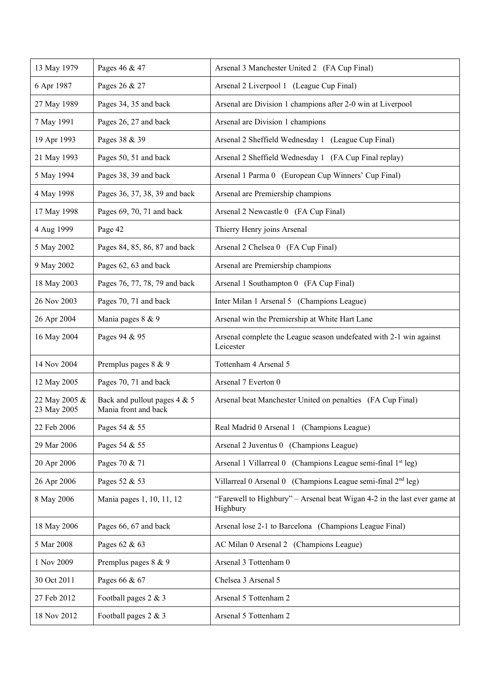| 13 May 1979                  | Pages 46 & 47                                        | Arsenal 3 Manchester United 2 (FA Cup Final)                                         |
|------------------------------|------------------------------------------------------|--------------------------------------------------------------------------------------|
| 6 Apr 1987                   | Pages 26 & 27                                        | Arsenal 2 Liverpool 1 (League Cup Final)                                             |
| 27 May 1989                  | Pages 34, 35 and back                                | Arsenal are Division 1 champions after 2-0 win at Liverpool                          |
| 7 May 1991                   | Pages 26, 27 and back                                | Arsenal are Division 1 champions                                                     |
| 19 Apr 1993                  | Pages 38 & 39                                        | Arsenal 2 Sheffield Wednesday 1 (League Cup Final)                                   |
| 21 May 1993                  | Pages 50, 51 and back                                | Arsenal 2 Sheffield Wednesday 1 (FA Cup Final replay)                                |
| 5 May 1994                   | Pages 38, 39 and back                                | Arsenal 1 Parma 0 (European Cup Winners' Cup Final)                                  |
| 4 May 1998                   | Pages 36, 37, 38, 39 and back                        | Arsenal are Premiership champions                                                    |
| 17 May 1998                  | Pages 69, 70, 71 and back                            | Arsenal 2 Newcastle 0 (FA Cup Final)                                                 |
| 4 Aug 1999                   | Page 42                                              | Thierry Henry joins Arsenal                                                          |
| 5 May 2002                   | Pages 84, 85, 86, 87 and back                        | Arsenal 2 Chelsea 0 (FA Cup Final)                                                   |
| 9 May 2002                   | Pages 62, 63 and back                                | Arsenal are Premiership champions                                                    |
| 18 May 2003                  | Pages 76, 77, 78, 79 and back                        | Arsenal 1 Southampton 0 (FA Cup Final)                                               |
| 26 Nov 2003                  | Pages 70, 71 and back                                | Inter Milan 1 Arsenal 5 (Champions League)                                           |
| 26 Apr 2004                  | Mania pages 8 & 9                                    | Arsenal win the Premiership at White Hart Lane                                       |
| 16 May 2004                  | Pages 94 & 95                                        | Arsenal complete the League season undefeated with 2-1 win against<br>Leicester      |
| 14 Nov 2004                  | Premplus pages 8 & 9                                 | Tottenham 4 Arsenal 5                                                                |
| 12 May 2005                  | Pages 70, 71 and back                                | Arsenal 7 Everton 0                                                                  |
| 22 May 2005 &<br>23 May 2005 | Back and pullout pages 4 & 5<br>Mania front and back | Arsenal beat Manchester United on penalties (FA Cup Final)                           |
| 22 Feb 2006                  | Pages 54 & 55                                        | Real Madrid 0 Arsenal 1 (Champions League)                                           |
| 29 Mar 2006                  | Pages 54 & 55                                        | Arsenal 2 Juventus 0 (Champions League)                                              |
| 20 Apr 2006                  | Pages 70 & 71                                        | Arsenal 1 Villarreal 0 (Champions League semi-final 1 <sup>st</sup> leg)             |
| 26 Apr 2006                  | Pages 52 & 53                                        | Villarreal 0 Arsenal 0 (Champions League semi-final 2 <sup>nd</sup> leg)             |
| 8 May 2006                   | Mania pages 1, 10, 11, 12                            | "Farewell to Highbury" - Arsenal beat Wigan 4-2 in the last ever game at<br>Highbury |
| 18 May 2006                  | Pages 66, 67 and back                                | Arsenal lose 2-1 to Barcelona (Champions League Final)                               |
| 5 Mar 2008                   | Pages 62 & 63                                        | AC Milan 0 Arsenal 2 (Champions League)                                              |
| 1 Nov 2009                   | Premplus pages 8 & 9                                 | Arsenal 3 Tottenham 0                                                                |
| 30 Oct 2011                  | Pages 66 & 67                                        | Chelsea 3 Arsenal 5                                                                  |
| 27 Feb 2012                  | Football pages 2 & 3                                 | Arsenal 5 Tottenham 2                                                                |
| 18 Nov 2012                  | Football pages 2 & 3                                 | Arsenal 5 Tottenham 2                                                                |